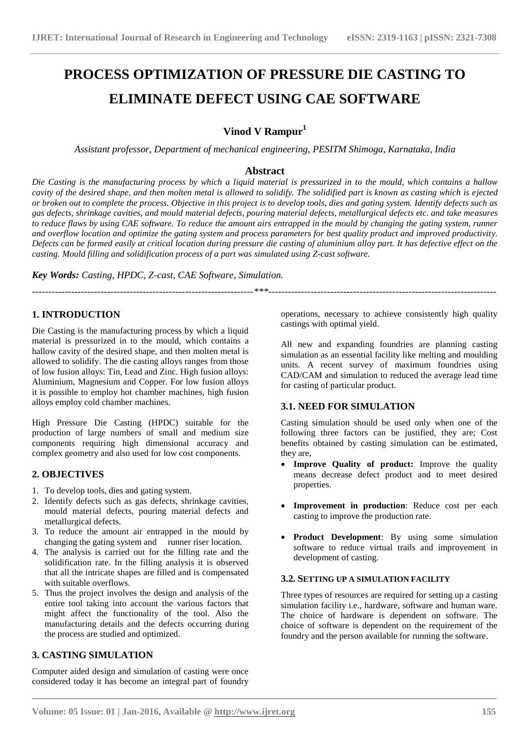# **PROCESS OPTIMIZATION OF PRESSURE DIE CASTING TO ELIMINATE DEFECT USING CAE SOFTWARE**

# **Vinod V Rampur<sup>1</sup>**

*Assistant professor, Department of mechanical engineering, PESITM Shimoga, Karnataka, India*

# **Abstract**

*Die Casting is the manufacturing process by which a liquid material is pressurized in to the mould, which contains a hallow cavity of the desired shape, and then molten metal is allowed to solidify. The solidified part is known as casting which is ejected or broken out to complete the process. Objective in this project is to develop tools, dies and gating system. Identify defects such as gas defects, shrinkage cavities, and mould material defects, pouring material defects, metallurgical defects etc. and take measures to reduce flaws by using CAE software. To reduce the amount airs entrapped in the mould by changing the gating system, runner and overflow location and optimize the gating system and process parameters for best quality product and improved productivity. Defects can be formed easily at critical location during pressure die casting of aluminium alloy part. It has defective effect on the casting. Mould filling and solidification process of a part was simulated using Z-cast software.*

*--------------------------------------------------------------------\*\*\*----------------------------------------------------------------------*

**\_\_\_\_\_\_\_\_\_\_\_\_\_\_\_\_\_\_\_\_\_\_\_\_\_\_\_\_\_\_\_\_\_\_\_\_\_\_\_\_\_\_\_\_\_\_\_\_\_\_\_\_\_\_\_\_\_\_\_\_\_\_\_\_\_\_\_\_\_\_\_\_\_\_\_\_\_\_\_\_\_\_\_\_\_\_\_**

*Key Words: Casting, HPDC, Z-cast, CAE Software, Simulation.*

**1. INTRODUCTION**

Die Casting is the manufacturing process by which a liquid material is pressurized in to the mould, which contains a hallow cavity of the desired shape, and then molten metal is allowed to solidify. The die casting alloys ranges from those of low fusion alloys: Tin, Lead and Zinc. High fusion alloys: Aluminium, Magnesium and Copper. For low fusion alloys it is possible to employ hot chamber machines, high fusion alloys employ cold chamber machines.

High Pressure Die Casting (HPDC) suitable for the production of large numbers of small and medium size components requiring high dimensional accuracy and complex geometry and also used for low cost components.

# **2. OBJECTIVES**

- 1. To develop tools, dies and gating system.
- 2. Identify defects such as gas defects, shrinkage cavities, mould material defects, pouring material defects and metallurgical defects.
- 3. To reduce the amount air entrapped in the mould by changing the gating system and runner riser location.
- 4. The analysis is carried out for the filling rate and the solidification rate. In the filling analysis it is observed that all the intricate shapes are filled and is compensated with suitable overflows.
- 5. Thus the project involves the design and analysis of the entire tool taking into account the various factors that might affect the functionality of the tool. Also the manufacturing details and the defects occurring during the process are studied and optimized.

# **3. CASTING SIMULATION**

Computer aided design and simulation of casting were once considered today it has become an integral part of foundry

operations, necessary to achieve consistently high quality castings with optimal yield.

All new and expanding foundries are planning casting simulation as an essential facility like melting and moulding units. A recent survey of maximum foundries using CAD/CAM and simulation to reduced the average lead time for casting of particular product.

# **3.1. NEED FOR SIMULATION**

Casting simulation should be used only when one of the following three factors can be justified, they are; Cost benefits obtained by casting simulation can be estimated, they are,

- **Improve Quality of product:** Improve the quality means decrease defect product and to meet desired properties.
- **Improvement in production**: Reduce cost per each casting to improve the production rate.
- **Product Development**: By using some simulation software to reduce virtual trails and improvement in development of casting.

## **3.2. SETTING UP A SIMULATION FACILITY**

Three types of resources are required for setting up a casting simulation facility i.e., hardware, software and human ware. The choice of hardware is dependent on software. The choice of software is dependent on the requirement of the foundry and the person available for running the software.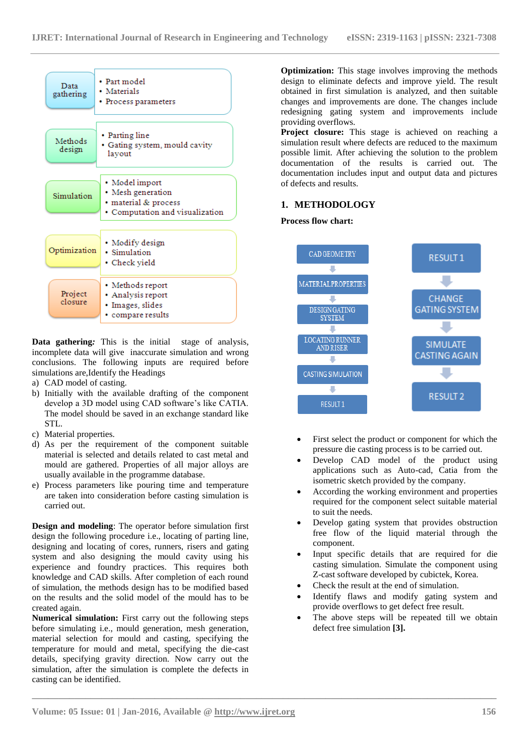

**Data gathering***:* This is the initial stage of analysis, incomplete data will give inaccurate simulation and wrong conclusions. The following inputs are required before simulations are,Identify the Headings

- a) CAD model of casting.
- b) Initially with the available drafting of the component develop a 3D model using CAD software's like CATIA. The model should be saved in an exchange standard like STL.
- c) Material properties.
- d) As per the requirement of the component suitable material is selected and details related to cast metal and mould are gathered. Properties of all major alloys are usually available in the programme database.
- e) Process parameters like pouring time and temperature are taken into consideration before casting simulation is carried out.

**Design and modeling**: The operator before simulation first design the following procedure i.e., locating of parting line, designing and locating of cores, runners, risers and gating system and also designing the mould cavity using his experience and foundry practices. This requires both knowledge and CAD skills. After completion of each round of simulation, the methods design has to be modified based on the results and the solid model of the mould has to be created again.

**Numerical simulation:** First carry out the following steps before simulating i.e., mould generation, mesh generation, material selection for mould and casting, specifying the temperature for mould and metal, specifying the die-cast details, specifying gravity direction. Now carry out the simulation, after the simulation is complete the defects in casting can be identified.

**Optimization:** This stage involves improving the methods design to eliminate defects and improve yield. The result obtained in first simulation is analyzed, and then suitable changes and improvements are done. The changes include redesigning gating system and improvements include providing overflows.

**Project closure:** This stage is achieved on reaching a simulation result where defects are reduced to the maximum possible limit. After achieving the solution to the problem documentation of the results is carried out. The documentation includes input and output data and pictures of defects and results.

# **1. METHODOLOGY**

#### **Process flow chart:**



- First select the product or component for which the pressure die casting process is to be carried out.
- Develop CAD model of the product using applications such as Auto-cad, Catia from the isometric sketch provided by the company.
- According the working environment and properties required for the component select suitable material to suit the needs.
- Develop gating system that provides obstruction free flow of the liquid material through the component.
- Input specific details that are required for die casting simulation. Simulate the component using Z-cast software developed by cubictek, Korea.
- Check the result at the end of simulation.
- Identify flaws and modify gating system and provide overflows to get defect free result.
- The above steps will be repeated till we obtain defect free simulation **[3].**

**\_\_\_\_\_\_\_\_\_\_\_\_\_\_\_\_\_\_\_\_\_\_\_\_\_\_\_\_\_\_\_\_\_\_\_\_\_\_\_\_\_\_\_\_\_\_\_\_\_\_\_\_\_\_\_\_\_\_\_\_\_\_\_\_\_\_\_\_\_\_\_\_\_\_\_\_\_\_\_\_\_\_\_\_\_\_\_**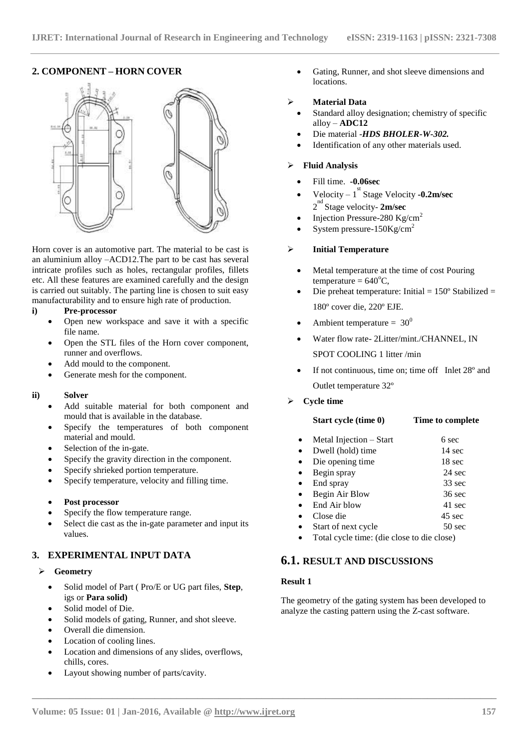## **2. COMPONENT – HORN COVER**



Horn cover is an automotive part. The material to be cast is an aluminium alloy –ACD12.The part to be cast has several intricate profiles such as holes, rectangular profiles, fillets etc. All these features are examined carefully and the design is carried out suitably. The parting line is chosen to suit easy manufacturability and to ensure high rate of production.

#### **i) Pre-processor**

- Open new workspace and save it with a specific file name.
- Open the STL files of the Horn cover component, runner and overflows.
- Add mould to the component.
- Generate mesh for the component.

#### **ii) Solver**

- Add suitable material for both component and mould that is available in the database.
- Specify the temperatures of both component material and mould.
- Selection of the in-gate.
- Specify the gravity direction in the component.
- Specify shrieked portion temperature.
- Specify temperature, velocity and filling time.

## **Post processor**

- Specify the flow temperature range.
- Select die cast as the in-gate parameter and input its values.

# **3. EXPERIMENTAL INPUT DATA**

#### **Geometry**

- Solid model of Part ( Pro/E or UG part files, **Step**, igs or **Para solid)**
- Solid model of Die.
- Solid models of gating, Runner, and shot sleeve.
- Overall die dimension.
- Location of cooling lines.
- Location and dimensions of any slides, overflows, chills, cores.
- Layout showing number of parts/cavity.

 Gating, Runner, and shot sleeve dimensions and locations.

#### **Material Data**

- Standard alloy designation; chemistry of specific alloy – **ADC12**
- Die material -*HDS BHOLER-W-302.*
- Identification of any other materials used.

## **Fluid Analysis**

- Fill time. **-0.06sec**
- Velocity  $-1$ <sup>st</sup> Stage Velocity  $-0.2$ m/sec 2<sup>nd</sup> Stage velocity- 2m/sec
- Injection Pressure-280 Kg/cm<sup>2</sup>
- System pressure-150Kg/cm<sup>2</sup>

#### **Initial Temperature**

- Metal temperature at the time of cost Pouring temperature =  $640^{\circ}$ C,
- Die preheat temperature: Initial = 150º Stabilized = 180º cover die, 220º EJE.
- Ambient temperature =  $30^0$
- Water flow rate- 2Litter/mint./CHANNEL, IN SPOT COOLING 1 litter /min
- If not continuous, time on; time off Inlet 28º and Outlet temperature 32º
- **Cycle time**

|           | Start cycle (time 0)    | Time to complete |
|-----------|-------------------------|------------------|
| $\bullet$ | Metal Injection – Start | 6 sec            |
| $\bullet$ | Dwell (hold) time       | $14 \text{ sec}$ |
| $\bullet$ | Die opening time        | 18 sec           |
| $\bullet$ | Begin spray             | $24 \text{ sec}$ |
| $\bullet$ | End spray               | $33 \text{ sec}$ |
| $\bullet$ | Begin Air Blow          | $36 \text{ sec}$ |
| $\bullet$ | End Air blow            | 41 sec           |
|           | Close die               | $45 \text{ sec}$ |
| $\bullet$ | Start of next cycle     | 50 sec           |

Total cycle time: (die close to die close)

# **6.1. RESULT AND DISCUSSIONS**

## **Result 1**

**\_\_\_\_\_\_\_\_\_\_\_\_\_\_\_\_\_\_\_\_\_\_\_\_\_\_\_\_\_\_\_\_\_\_\_\_\_\_\_\_\_\_\_\_\_\_\_\_\_\_\_\_\_\_\_\_\_\_\_\_\_\_\_\_\_\_\_\_\_\_\_\_\_\_\_\_\_\_\_\_\_\_\_\_\_\_\_**

The geometry of the gating system has been developed to analyze the casting pattern using the Z-cast software.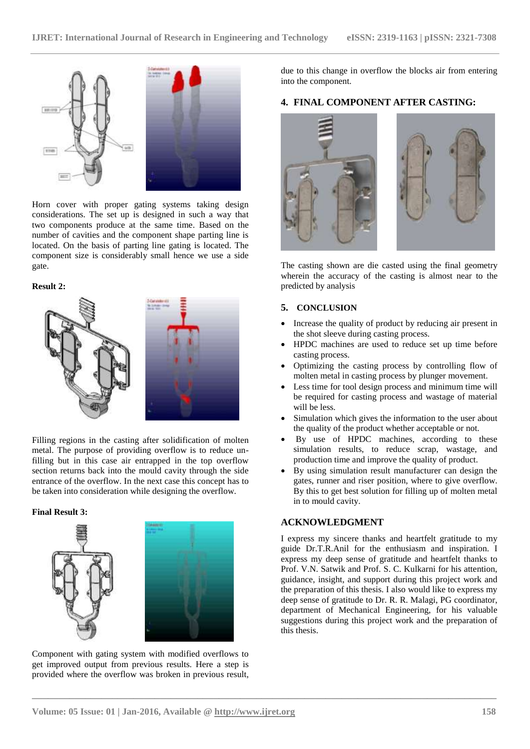

Horn cover with proper gating systems taking design considerations. The set up is designed in such a way that two components produce at the same time. Based on the number of cavities and the component shape parting line is located. On the basis of parting line gating is located. The component size is considerably small hence we use a side gate.

#### **Result 2:**



Filling regions in the casting after solidification of molten metal. The purpose of providing overflow is to reduce unfilling but in this case air entrapped in the top overflow section returns back into the mould cavity through the side entrance of the overflow. In the next case this concept has to be taken into consideration while designing the overflow.

#### **Final Result 3:**





**\_\_\_\_\_\_\_\_\_\_\_\_\_\_\_\_\_\_\_\_\_\_\_\_\_\_\_\_\_\_\_\_\_\_\_\_\_\_\_\_\_\_\_\_\_\_\_\_\_\_\_\_\_\_\_\_\_\_\_\_\_\_\_\_\_\_\_\_\_\_\_\_\_\_\_\_\_\_\_\_\_\_\_\_\_\_\_**

Component with gating system with modified overflows to get improved output from previous results. Here a step is provided where the overflow was broken in previous result,

due to this change in overflow the blocks air from entering into the component.

# **4. FINAL COMPONENT AFTER CASTING:**



The casting shown are die casted using the final geometry wherein the accuracy of the casting is almost near to the predicted by analysis

## **5. CONCLUSION**

- Increase the quality of product by reducing air present in the shot sleeve during casting process.
- HPDC machines are used to reduce set up time before casting process.
- Optimizing the casting process by controlling flow of molten metal in casting process by plunger movement.
- Less time for tool design process and minimum time will be required for casting process and wastage of material will be less.
- Simulation which gives the information to the user about the quality of the product whether acceptable or not.
- By use of HPDC machines, according to these simulation results, to reduce scrap, wastage, and production time and improve the quality of product.
- By using simulation result manufacturer can design the gates, runner and riser position, where to give overflow. By this to get best solution for filling up of molten metal in to mould cavity.

## **ACKNOWLEDGMENT**

I express my sincere thanks and heartfelt gratitude to my guide Dr.T.R.Anil for the enthusiasm and inspiration. I express my deep sense of gratitude and heartfelt thanks to Prof. V.N. Satwik and Prof. S. C. Kulkarni for his attention, guidance, insight, and support during this project work and the preparation of this thesis. I also would like to express my deep sense of gratitude to Dr. R. R. Malagi, PG coordinator, department of Mechanical Engineering, for his valuable suggestions during this project work and the preparation of this thesis.